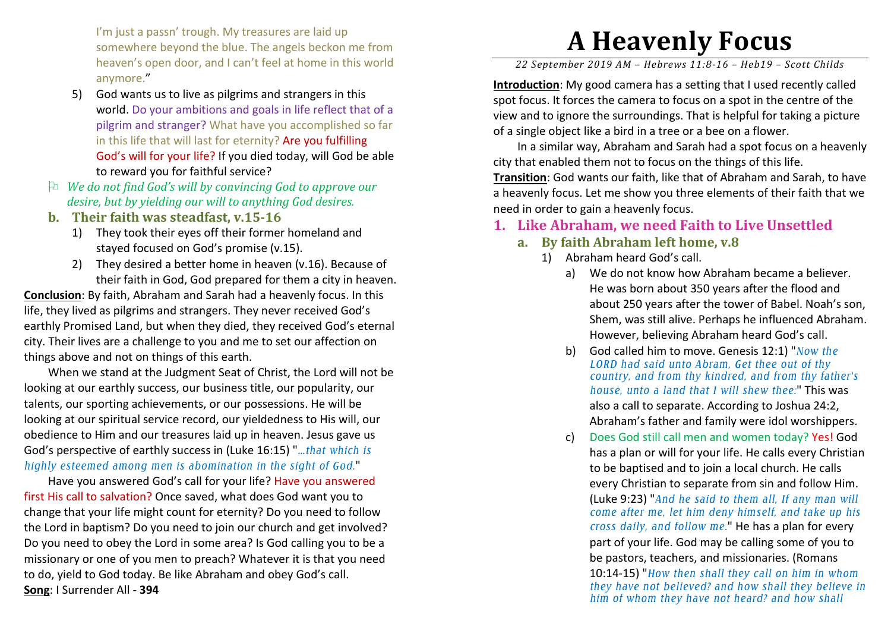I'm just a passn' trough. My treasures are laid up somewhere beyond the blue. The angels beckon me from heaven's open door, and I can't feel at home in this world anymore."

- 5) God wants us to live as pilgrims and strangers in this world. Do your ambitions and goals in life reflect that of a pilgrim and stranger? What have you accomplished so far in this life that will last for eternity? Are you fulfilling God's will for your life? If you died today, will God be able to reward you for faithful service?
- *We do not find God's will by convincing God to approve our desire, but by yielding our will to anything God desires.*
- **b. Their faith was steadfast, v.15-16** 
	- 1) They took their eyes off their former homeland and stayed focused on God's promise (v.15).
	- 2) They desired a better home in heaven (v.16). Because of their faith in God, God prepared for them a city in heaven.

**Conclusion**: By faith, Abraham and Sarah had a heavenly focus. In this life, they lived as pilgrims and strangers. They never received God's earthly Promised Land, but when they died, they received God's eternal city. Their lives are a challenge to you and me to set our affection on things above and not on things of this earth.

 When we stand at the Judgment Seat of Christ, the Lord will not be looking at our earthly success, our business title, our popularity, our talents, our sporting achievements, or our possessions. He will be looking at our spiritual service record, our yieldedness to His will, our obedience to Him and our treasures laid up in heaven. Jesus gave us God's perspective of earthly success in (Luke 16:15) "*…that which is highly esteemed among men is abomination in the sight of God.*"

 Have you answered God's call for your life? Have you answered first His call to salvation? Once saved, what does God want you to change that your life might count for eternity? Do you need to follow the Lord in baptism? Do you need to join our church and get involved? Do you need to obey the Lord in some area? Is God calling you to be a missionary or one of you men to preach? Whatever it is that you need to do, yield to God today. Be like Abraham and obey God's call. **Song**: I Surrender All - **394**

## **A Heavenly Focus**

*22 September 2019 AM – Hebrews 11:8-16 – Heb19 – Scott Childs* 

**Introduction**: My good camera has a setting that I used recently called spot focus. It forces the camera to focus on a spot in the centre of the view and to ignore the surroundings. That is helpful for taking a picture of a single object like a bird in a tree or a bee on a flower.

 In a similar way, Abraham and Sarah had a spot focus on a heavenly city that enabled them not to focus on the things of this life.

**Transition**: God wants our faith, like that of Abraham and Sarah, to have a heavenly focus. Let me show you three elements of their faith that we need in order to gain a heavenly focus.

## **1. Like Abraham, we need Faith to Live Unsettled**

- **a. By faith Abraham left home, v.8** 
	- 1) Abraham heard God's call.
		- a) We do not know how Abraham became a believer. He was born about 350 years after the flood and about 250 years after the tower of Babel. Noah's son, Shem, was still alive. Perhaps he influenced Abraham. However, believing Abraham heard God's call.
		- b) God called him to move. Genesis 12:1) "*Now the LORD had said unto Abram, Get thee out of thy country, and from thy kindred, and from thy father's house, unto a land that I will shew thee:*" This was also a call to separate. According to Joshua 24:2, Abraham's father and family were idol worshippers.
		- c)) Does God still call men and women today? Yes! God has a plan or will for your life. He calls every Christian to be baptised and to join a local church. He calls every Christian to separate from sin and follow Him. (Luke 9:23) "*And he said to them all, If any man will come after me, let him deny himself, and take up his cross daily, and follow me.*" He has a plan for every part of your life. God may be calling some of you to be pastors, teachers, and missionaries. (Romans 10:14-15) "*How then shall they call on him in whom they have not believed? and how shall they believe in him of whom they have not heard? and how shall*